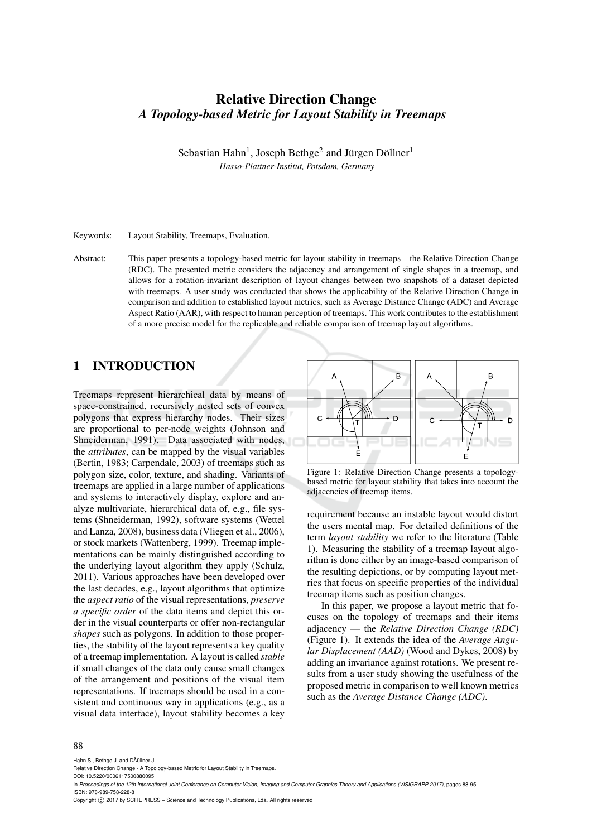# Relative Direction Change *A Topology-based Metric for Layout Stability in Treemaps*

Sebastian Hahn<sup>1</sup>, Joseph Bethge<sup>2</sup> and Jürgen Döllner<sup>1</sup> *Hasso-Plattner-Institut, Potsdam, Germany*

Keywords: Layout Stability, Treemaps, Evaluation.

Abstract: This paper presents a topology-based metric for layout stability in treemaps—the Relative Direction Change (RDC). The presented metric considers the adjacency and arrangement of single shapes in a treemap, and allows for a rotation-invariant description of layout changes between two snapshots of a dataset depicted with treemaps. A user study was conducted that shows the applicability of the Relative Direction Change in comparison and addition to established layout metrics, such as Average Distance Change (ADC) and Average Aspect Ratio (AAR), with respect to human perception of treemaps. This work contributes to the establishment of a more precise model for the replicable and reliable comparison of treemap layout algorithms.

# 1 INTRODUCTION

Treemaps represent hierarchical data by means of space-constrained, recursively nested sets of convex polygons that express hierarchy nodes. Their sizes are proportional to per-node weights (Johnson and Shneiderman, 1991). Data associated with nodes, the *attributes*, can be mapped by the visual variables (Bertin, 1983; Carpendale, 2003) of treemaps such as polygon size, color, texture, and shading. Variants of treemaps are applied in a large number of applications and systems to interactively display, explore and analyze multivariate, hierarchical data of, e.g., file systems (Shneiderman, 1992), software systems (Wettel and Lanza, 2008), business data (Vliegen et al., 2006), or stock markets (Wattenberg, 1999). Treemap implementations can be mainly distinguished according to the underlying layout algorithm they apply (Schulz, 2011). Various approaches have been developed over the last decades, e.g., layout algorithms that optimize the *aspect ratio* of the visual representations, *preserve a specific order* of the data items and depict this order in the visual counterparts or offer non-rectangular *shapes* such as polygons. In addition to those properties, the stability of the layout represents a key quality of a treemap implementation. A layout is called *stable* if small changes of the data only cause small changes of the arrangement and positions of the visual item representations. If treemaps should be used in a consistent and continuous way in applications (e.g., as a visual data interface), layout stability becomes a key



Figure 1: Relative Direction Change presents a topologybased metric for layout stability that takes into account the adjacencies of treemap items.

requirement because an instable layout would distort the users mental map. For detailed definitions of the term *layout stability* we refer to the literature (Table 1). Measuring the stability of a treemap layout algorithm is done either by an image-based comparison of the resulting depictions, or by computing layout metrics that focus on specific properties of the individual treemap items such as position changes.

In this paper, we propose a layout metric that focuses on the topology of treemaps and their items adjacency — the *Relative Direction Change (RDC)* (Figure 1). It extends the idea of the *Average Angular Displacement (AAD)* (Wood and Dykes, 2008) by adding an invariance against rotations. We present results from a user study showing the usefulness of the proposed metric in comparison to well known metrics such as the *Average Distance Change (ADC)*.

#### 88

Hahn S., Bethge J. and DÂ(illner J.

DOI: 10.5220/0006117500880095

In *Proceedings of the 12th International Joint Conference on Computer Vision, Imaging and Computer Graphics Theory and Applications (VISIGRAPP 2017)*, pages 88-95 ISBN: 978-989-758-228-8

Copyright © 2017 by SCITEPRESS - Science and Technology Publications, Lda. All rights reserved

Relative Direction Change - A Topology-based Metric for Layout Stability in Treemaps.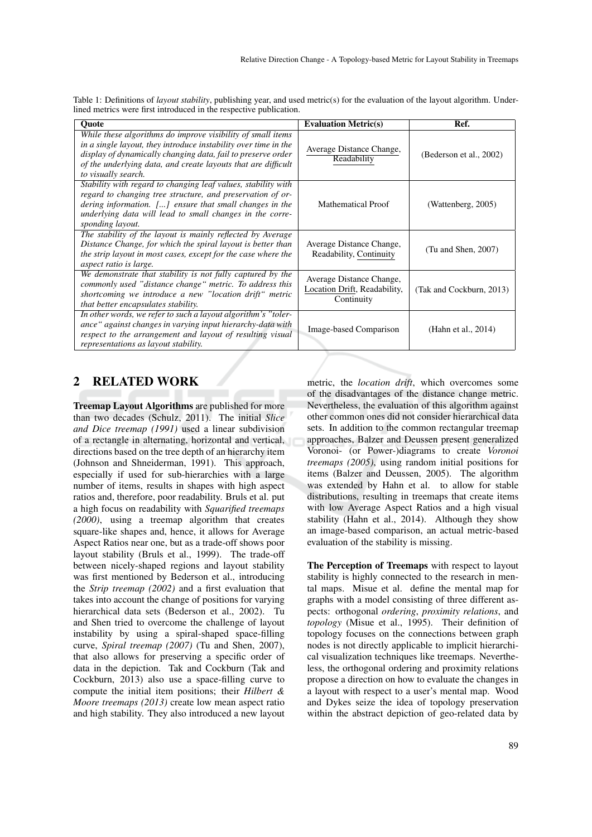| Quote                                                                                                                                                                                                                                                                                  | <b>Evaluation Metric(s)</b>                                            | Ref.                     |
|----------------------------------------------------------------------------------------------------------------------------------------------------------------------------------------------------------------------------------------------------------------------------------------|------------------------------------------------------------------------|--------------------------|
| While these algorithms do improve visibility of small items<br>in a single layout, they introduce instability over time in the<br>display of dynamically changing data, fail to preserve order<br>of the underlying data, and create layouts that are difficult<br>to visually search. | Average Distance Change,<br>Readability                                | (Bederson et al., 2002)  |
| Stability with regard to changing leaf values, stability with<br>regard to changing tree structure, and preservation of or-<br>dering information. [] ensure that small changes in the<br>underlying data will lead to small changes in the corre-<br>sponding layout.                 | <b>Mathematical Proof</b>                                              | (Wattenberg, 2005)       |
| The stability of the layout is mainly reflected by Average<br>Distance Change, for which the spiral layout is better than<br>the strip layout in most cases, except for the case where the<br>aspect ratio is large.                                                                   | Average Distance Change,<br>Readability, Continuity                    | $(Tu$ and Shen, 2007)    |
| We demonstrate that stability is not fully captured by the<br>commonly used "distance change" metric. To address this<br>shortcoming we introduce a new "location drift" metric<br>that better encapsulates stability.                                                                 | Average Distance Change,<br>Location Drift, Readability,<br>Continuity | (Tak and Cockburn, 2013) |
| In other words, we refer to such a layout algorithm's "toler-<br>ance" against changes in varying input hierarchy-data with<br>respect to the arrangement and layout of resulting visual<br>representations as layout stability.                                                       | Image-based Comparison                                                 | (Hahn et al., 2014)      |

Table 1: Definitions of *layout stability*, publishing year, and used metric(s) for the evaluation of the layout algorithm. Underlined metrics were first introduced in the respective publication.

# 2 RELATED WORK

Treemap Layout Algorithms are published for more than two decades (Schulz, 2011). The initial *Slice and Dice treemap (1991)* used a linear subdivision of a rectangle in alternating, horizontal and vertical, directions based on the tree depth of an hierarchy item (Johnson and Shneiderman, 1991). This approach, especially if used for sub-hierarchies with a large number of items, results in shapes with high aspect ratios and, therefore, poor readability. Bruls et al. put a high focus on readability with *Squarified treemaps (2000)*, using a treemap algorithm that creates square-like shapes and, hence, it allows for Average Aspect Ratios near one, but as a trade-off shows poor layout stability (Bruls et al., 1999). The trade-off between nicely-shaped regions and layout stability was first mentioned by Bederson et al., introducing the *Strip treemap (2002)* and a first evaluation that takes into account the change of positions for varying hierarchical data sets (Bederson et al., 2002). Tu and Shen tried to overcome the challenge of layout instability by using a spiral-shaped space-filling curve, *Spiral treemap (2007)* (Tu and Shen, 2007), that also allows for preserving a specific order of data in the depiction. Tak and Cockburn (Tak and Cockburn, 2013) also use a space-filling curve to compute the initial item positions; their *Hilbert & Moore treemaps (2013)* create low mean aspect ratio and high stability. They also introduced a new layout

metric, the *location drift*, which overcomes some of the disadvantages of the distance change metric. Nevertheless, the evaluation of this algorithm against other common ones did not consider hierarchical data sets. In addition to the common rectangular treemap approaches, Balzer and Deussen present generalized Voronoi- (or Power-)diagrams to create *Voronoi treemaps (2005)*, using random initial positions for items (Balzer and Deussen, 2005). The algorithm was extended by Hahn et al. to allow for stable distributions, resulting in treemaps that create items with low Average Aspect Ratios and a high visual stability (Hahn et al., 2014). Although they show an image-based comparison, an actual metric-based evaluation of the stability is missing.

The Perception of Treemaps with respect to layout stability is highly connected to the research in mental maps. Misue et al. define the mental map for graphs with a model consisting of three different aspects: orthogonal *ordering*, *proximity relations*, and *topology* (Misue et al., 1995). Their definition of topology focuses on the connections between graph nodes is not directly applicable to implicit hierarchical visualization techniques like treemaps. Nevertheless, the orthogonal ordering and proximity relations propose a direction on how to evaluate the changes in a layout with respect to a user's mental map. Wood and Dykes seize the idea of topology preservation within the abstract depiction of geo-related data by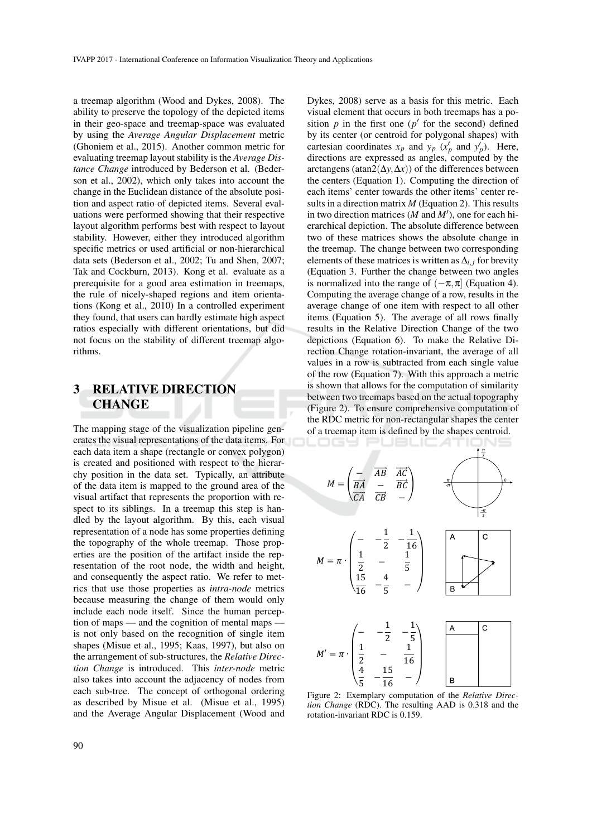a treemap algorithm (Wood and Dykes, 2008). The ability to preserve the topology of the depicted items in their geo-space and treemap-space was evaluated by using the *Average Angular Displacement* metric (Ghoniem et al., 2015). Another common metric for evaluating treemap layout stability is the *Average Distance Change* introduced by Bederson et al. (Bederson et al., 2002), which only takes into account the change in the Euclidean distance of the absolute position and aspect ratio of depicted items. Several evaluations were performed showing that their respective layout algorithm performs best with respect to layout stability. However, either they introduced algorithm specific metrics or used artificial or non-hierarchical data sets (Bederson et al., 2002; Tu and Shen, 2007; Tak and Cockburn, 2013). Kong et al. evaluate as a prerequisite for a good area estimation in treemaps, the rule of nicely-shaped regions and item orientations (Kong et al., 2010) In a controlled experiment they found, that users can hardly estimate high aspect ratios especially with different orientations, but did not focus on the stability of different treemap algorithms.

# 3 RELATIVE DIRECTION CHANGE

The mapping stage of the visualization pipeline generates the visual representations of the data items. For each data item a shape (rectangle or convex polygon) is created and positioned with respect to the hierarchy position in the data set. Typically, an attribute of the data item is mapped to the ground area of the visual artifact that represents the proportion with respect to its siblings. In a treemap this step is handled by the layout algorithm. By this, each visual representation of a node has some properties defining the topography of the whole treemap. Those properties are the position of the artifact inside the representation of the root node, the width and height, and consequently the aspect ratio. We refer to metrics that use those properties as *intra-node* metrics because measuring the change of them would only include each node itself. Since the human perception of maps — and the cognition of mental maps is not only based on the recognition of single item shapes (Misue et al., 1995; Kaas, 1997), but also on the arrangement of sub-structures, the *Relative Direction Change* is introduced. This *inter-node* metric also takes into account the adjacency of nodes from each sub-tree. The concept of orthogonal ordering as described by Misue et al. (Misue et al., 1995) and the Average Angular Displacement (Wood and

Dykes, 2008) serve as a basis for this metric. Each visual element that occurs in both treemaps has a position  $p$  in the first one ( $p'$  for the second) defined by its center (or centroid for polygonal shapes) with cartesian coordinates  $x_p$  and  $y_p$  ( $x'_p$  and  $y'_p$ ). Here, directions are expressed as angles, computed by the arctangens (atan2( $\Delta y, \Delta x$ )) of the differences between the centers (Equation 1). Computing the direction of each items' center towards the other items' center results in a direction matrix *M* (Equation 2). This results in two direction matrices  $(M \text{ and } M')$ , one for each hierarchical depiction. The absolute difference between two of these matrices shows the absolute change in the treemap. The change between two corresponding elements of these matrices is written as  $\Delta$ *i*, *j* for brevity (Equation 3. Further the change between two angles is normalized into the range of  $(-\pi, \pi]$  (Equation 4). Computing the average change of a row, results in the average change of one item with respect to all other items (Equation 5). The average of all rows finally results in the Relative Direction Change of the two depictions (Equation 6). To make the Relative Direction Change rotation-invariant, the average of all values in a row is subtracted from each single value of the row (Equation 7). With this approach a metric is shown that allows for the computation of similarity between two treemaps based on the actual topography (Figure 2). To ensure comprehensive computation of the RDC metric for non-rectangular shapes the center of a treemap item is defined by the shapes centroid.



Figure 2: Exemplary computation of the *Relative Direction Change* (RDC). The resulting AAD is 0.318 and the rotation-invariant RDC is 0.159.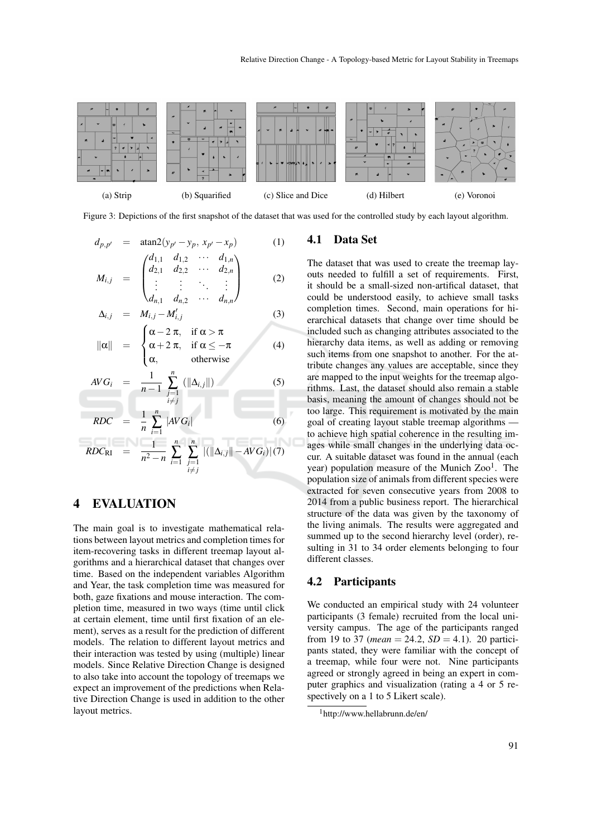

Figure 3: Depictions of the first snapshot of the dataset that was used for the controlled study by each layout algorithm.

$$
d_{p,p'} = \arctan 2(y_{p'} - y_p, x_{p'} - x_p)
$$
(1)  

$$
M_{i,j} = \begin{pmatrix} d_{1,1} & d_{1,2} & \cdots & d_{1,n} \\ d_{2,1} & d_{2,2} & \cdots & d_{2,n} \\ \vdots & \vdots & \ddots & \vdots \\ d_{n,1} & d_{n,2} & \cdots & d_{n,n} \end{pmatrix}
$$
(2)

$$
\Delta_{i,j} = M_{i,j} - M'_{i,j} \tag{3}
$$

$$
\|\alpha\| = \begin{cases} \alpha - 2\pi, & \text{if } \alpha > \pi \\ \alpha + 2\pi, & \text{if } \alpha \leq -\pi \\ \alpha, & \text{otherwise} \end{cases}
$$
 (4)

$$
AVG_i = \frac{1}{n-1} \sum_{\substack{j=1 \\ i \neq j}}^n (||\Delta_{i,j}||) \tag{5}
$$

$$
RDC = \frac{1}{n} \sum_{i=1}^{n} |AVG_i|
$$
\n
$$
RDC_{\text{RI}} = \frac{1}{n^2 - n} \sum_{i=1}^{n} \sum_{\substack{j=1 \ i \neq j}}^{n} |(||\Delta_{i,j}|| - AVG_i||(7))
$$

## 4 EVALUATION

The main goal is to investigate mathematical relations between layout metrics and completion times for item-recovering tasks in different treemap layout algorithms and a hierarchical dataset that changes over time. Based on the independent variables Algorithm and Year, the task completion time was measured for both, gaze fixations and mouse interaction. The completion time, measured in two ways (time until click at certain element, time until first fixation of an element), serves as a result for the prediction of different models. The relation to different layout metrics and their interaction was tested by using (multiple) linear models. Since Relative Direction Change is designed to also take into account the topology of treemaps we expect an improvement of the predictions when Relative Direction Change is used in addition to the other layout metrics.

#### 4.1 Data Set

The dataset that was used to create the treemap layouts needed to fulfill a set of requirements. First, it should be a small-sized non-artifical dataset, that could be understood easily, to achieve small tasks completion times. Second, main operations for hierarchical datasets that change over time should be included such as changing attributes associated to the hierarchy data items, as well as adding or removing such items from one snapshot to another. For the attribute changes any values are acceptable, since they are mapped to the input weights for the treemap algorithms. Last, the dataset should also remain a stable basis, meaning the amount of changes should not be too large. This requirement is motivated by the main goal of creating layout stable treemap algorithms to achieve high spatial coherence in the resulting images while small changes in the underlying data occur. A suitable dataset was found in the annual (each year) population measure of the Munich Zoo<sup>1</sup>. The population size of animals from different species were extracted for seven consecutive years from 2008 to 2014 from a public business report. The hierarchical structure of the data was given by the taxonomy of the living animals. The results were aggregated and summed up to the second hierarchy level (order), resulting in 31 to 34 order elements belonging to four different classes.

## 4.2 Participants

We conducted an empirical study with 24 volunteer participants (3 female) recruited from the local university campus. The age of the participants ranged from 19 to 37 (*mean* = 24.2,  $SD = 4.1$ ). 20 participants stated, they were familiar with the concept of a treemap, while four were not. Nine participants agreed or strongly agreed in being an expert in computer graphics and visualization (rating a 4 or 5 respectively on a 1 to 5 Likert scale).

<sup>1</sup>http://www.hellabrunn.de/en/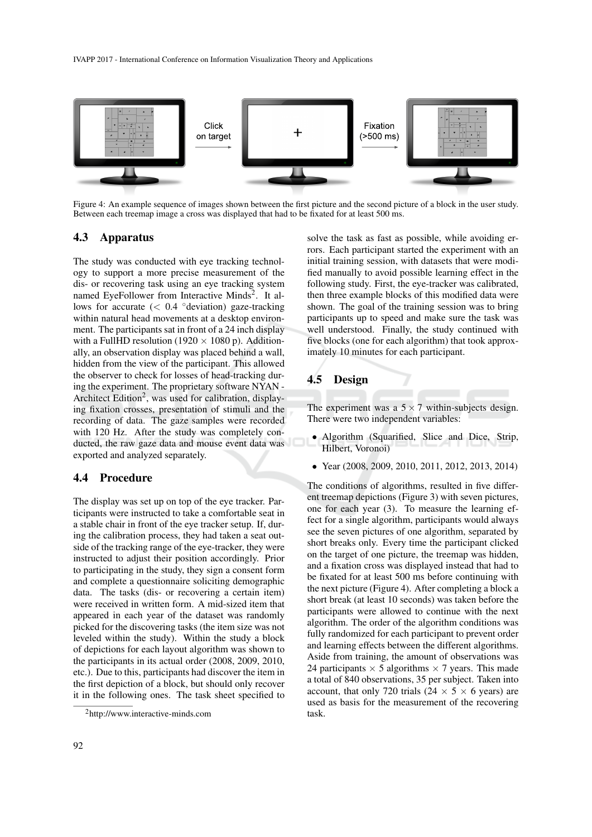

Figure 4: An example sequence of images shown between the first picture and the second picture of a block in the user study. Between each treemap image a cross was displayed that had to be fixated for at least 500 ms.

#### 4.3 Apparatus

The study was conducted with eye tracking technology to support a more precise measurement of the dis- or recovering task using an eye tracking system named EyeFollower from Interactive Minds<sup>2</sup>. It allows for accurate  $(< 0.4 \degree$ deviation) gaze-tracking within natural head movements at a desktop environment. The participants sat in front of a 24 inch display with a FullHD resolution (1920  $\times$  1080 p). Additionally, an observation display was placed behind a wall, hidden from the view of the participant. This allowed the observer to check for losses of head-tracking during the experiment. The proprietary software NYAN - Architect Edition<sup>2</sup>, was used for calibration, displaying fixation crosses, presentation of stimuli and the recording of data. The gaze samples were recorded with 120 Hz. After the study was completely conducted, the raw gaze data and mouse event data was exported and analyzed separately.

#### 4.4 Procedure

The display was set up on top of the eye tracker. Participants were instructed to take a comfortable seat in a stable chair in front of the eye tracker setup. If, during the calibration process, they had taken a seat outside of the tracking range of the eye-tracker, they were instructed to adjust their position accordingly. Prior to participating in the study, they sign a consent form and complete a questionnaire soliciting demographic data. The tasks (dis- or recovering a certain item) were received in written form. A mid-sized item that appeared in each year of the dataset was randomly picked for the discovering tasks (the item size was not leveled within the study). Within the study a block of depictions for each layout algorithm was shown to the participants in its actual order (2008, 2009, 2010, etc.). Due to this, participants had discover the item in the first depiction of a block, but should only recover it in the following ones. The task sheet specified to solve the task as fast as possible, while avoiding errors. Each participant started the experiment with an initial training session, with datasets that were modified manually to avoid possible learning effect in the following study. First, the eye-tracker was calibrated, then three example blocks of this modified data were shown. The goal of the training session was to bring participants up to speed and make sure the task was well understood. Finally, the study continued with five blocks (one for each algorithm) that took approximately 10 minutes for each participant.

#### 4.5 Design

The experiment was a  $5 \times 7$  within-subjects design. There were two independent variables:

- Algorithm (Squarified, Slice and Dice, Strip, Hilbert, Voronoi)
- Year (2008, 2009, 2010, 2011, 2012, 2013, 2014)

The conditions of algorithms, resulted in five different treemap depictions (Figure 3) with seven pictures, one for each year (3). To measure the learning effect for a single algorithm, participants would always see the seven pictures of one algorithm, separated by short breaks only. Every time the participant clicked on the target of one picture, the treemap was hidden, and a fixation cross was displayed instead that had to be fixated for at least 500 ms before continuing with the next picture (Figure 4). After completing a block a short break (at least 10 seconds) was taken before the participants were allowed to continue with the next algorithm. The order of the algorithm conditions was fully randomized for each participant to prevent order and learning effects between the different algorithms. Aside from training, the amount of observations was 24 participants  $\times$  5 algorithms  $\times$  7 years. This made a total of 840 observations, 35 per subject. Taken into account, that only 720 trials (24  $\times$  5  $\times$  6 years) are used as basis for the measurement of the recovering task.

<sup>2</sup>http://www.interactive-minds.com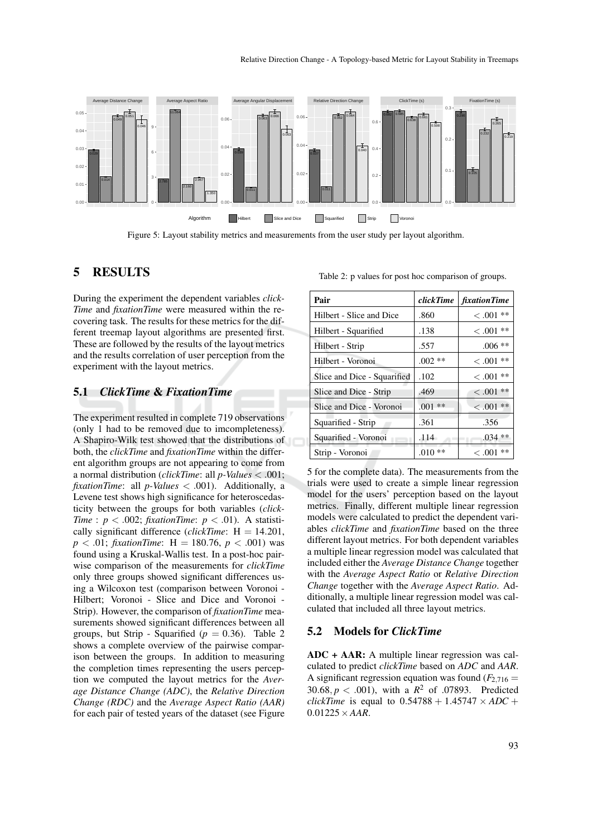

Figure 5: Layout stability metrics and measurements from the user study per layout algorithm.

# 5 RESULTS

During the experiment the dependent variables *click-Time* and *fixationTime* were measured within the recovering task. The results for these metrics for the different treemap layout algorithms are presented first. These are followed by the results of the layout metrics and the results correlation of user perception from the experiment with the layout metrics.

#### 5.1 *ClickTime* & *FixationTime*

The experiment resulted in complete 719 observations (only 1 had to be removed due to imcompleteness). A Shapiro-Wilk test showed that the distributions of both, the *clickTime* and *fixationTime* within the different algorithm groups are not appearing to come from a normal distribution (*clickTime*: all *p-Values* < .001; *fixationTime*: all *p-Values* < .001). Additionally, a Levene test shows high significance for heteroscedasticity between the groups for both variables (*click-Time* :  $p < .002$ ; *fixationTime*:  $p < .01$ ). A statistically significant difference (*clickTime*:  $H = 14.201$ ,  $p < .01$ ; *fixationTime*: H = 180.76,  $p < .001$ ) was found using a Kruskal-Wallis test. In a post-hoc pairwise comparison of the measurements for *clickTime* only three groups showed significant differences using a Wilcoxon test (comparison between Voronoi - Hilbert; Voronoi - Slice and Dice and Voronoi - Strip). However, the comparison of *fixationTime* measurements showed significant differences between all groups, but Strip - Squarified ( $p = 0.36$ ). Table 2 shows a complete overview of the pairwise comparison between the groups. In addition to measuring the completion times representing the users perception we computed the layout metrics for the *Average Distance Change (ADC)*, the *Relative Direction Change (RDC)* and the *Average Aspect Ratio (AAR)* for each pair of tested years of the dataset (see Figure

Table 2: p values for post hoc comparison of groups.

| Pair                        | clickTime | fixationTime |
|-----------------------------|-----------|--------------|
| Hilbert - Slice and Dice    | .860      | $< 0.001$ ** |
| Hilbert - Squarified        | .138      | $< .001**$   |
| Hilbert - Strip             | .557      | $.006**$     |
| Hilbert - Voronoi           | $.002**$  | $< .001$ **  |
| Slice and Dice - Squarified | .102      | $< 0.01$ **  |
| Slice and Dice - Strip      | .469      | $< 0.001$ ** |
| Slice and Dice - Voronoi    | $.001**$  | $< .001$ **  |
| Squarified - Strip          | .361      | .356         |
| Squarified - Voronoi        | .114      | $.034**$     |
| Strip - Voronoi             | $.010**$  | $< .001$ **  |

5 for the complete data). The measurements from the trials were used to create a simple linear regression model for the users' perception based on the layout metrics. Finally, different multiple linear regression models were calculated to predict the dependent variables *clickTime* and *fixationTime* based on the three different layout metrics. For both dependent variables a multiple linear regression model was calculated that included either the *Average Distance Change* together with the *Average Aspect Ratio* or *Relative Direction Change* together with the *Average Aspect Ratio*. Additionally, a multiple linear regression model was calculated that included all three layout metrics.

#### 5.2 Models for *ClickTime*

ADC + AAR: A multiple linear regression was calculated to predict *clickTime* based on *ADC* and *AAR*. A significant regression equation was found  $(F_{2,716} =$ 30.68,  $p < .001$ ), with a  $R^2$  of .07893. Predicted *clickTime* is equal to  $0.54788 + 1.45747 \times ADC +$  $0.01225 \times AAR$ .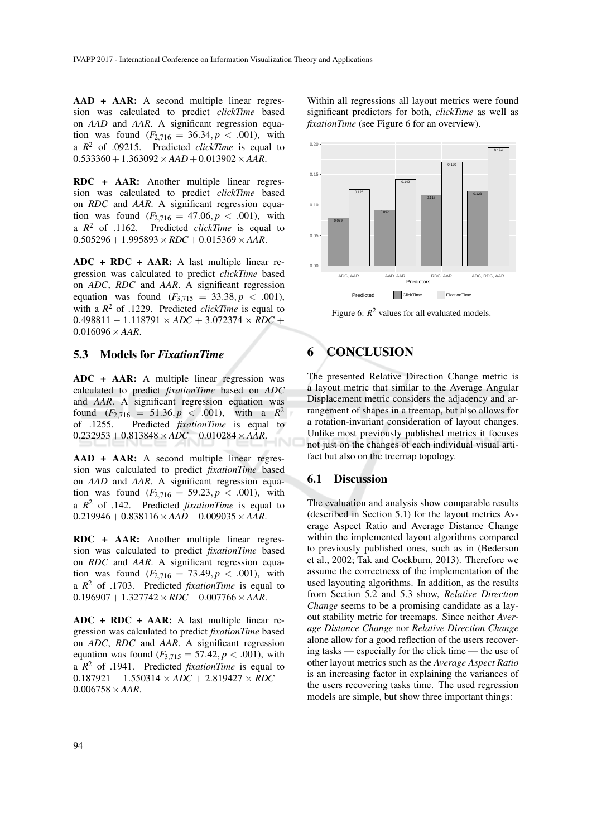AAD + AAR: A second multiple linear regression was calculated to predict *clickTime* based on *AAD* and *AAR*. A significant regression equation was found  $(F_{2,716} = 36.34, p < .001)$ , with a *R* <sup>2</sup> of .09215. Predicted *clickTime* is equal to  $0.533360+1.363092\times AAD + 0.013902\times AAR$ .

RDC + AAR: Another multiple linear regression was calculated to predict *clickTime* based on *RDC* and *AAR*. A significant regression equation was found  $(F_{2,716} = 47.06, p < .001)$ , with a  $R^2$  of .1162. Predicted *clickTime* is equal to  $0.505296+1.995893 \times RDC + 0.015369 \times AAR$ .

 $ADC + RDC + AAR: A last multiple linear re$ gression was calculated to predict *clickTime* based on *ADC*, *RDC* and *AAR*. A significant regression equation was found  $(F_{3,715} = 33.38, p < .001)$ , with a *R* <sup>2</sup> of .1229. Predicted *clickTime* is equal to 0.498811 − 1.118791 × *ADC* + 3.072374 × *RDC* + 0.016096×*AAR*.

### 5.3 Models for *FixationTime*

ADC + AAR: A multiple linear regression was calculated to predict *fixationTime* based on *ADC* and *AAR*. A significant regression equation was found  $(F_{2,716} = 51.36, p < .001)$ , with a  $R^2$ of .1255. Predicted *fixationTime* is equal to 0.232953+0.813848×*ADC* −0.010284×*AAR*.

AAD + AAR: A second multiple linear regression was calculated to predict *fixationTime* based on *AAD* and *AAR*. A significant regression equation was found  $(F_{2,716} = 59.23, p < .001)$ , with a *R* <sup>2</sup> of .142. Predicted *fixationTime* is equal to 0.219946+0.838116×*AAD*−0.009035×*AAR*.

RDC + AAR: Another multiple linear regression was calculated to predict *fixationTime* based on *RDC* and *AAR*. A significant regression equation was found  $(F_{2,716} = 73.49, p < .001)$ , with a *R* <sup>2</sup> of .1703. Predicted *fixationTime* is equal to  $0.196907+1.327742\times RDC-0.007766\times AAR.$ 

 $ADC + RDC + AAR: A last multiple linear re$ gression was calculated to predict *fixationTime* based on *ADC*, *RDC* and *AAR*. A significant regression equation was found  $(F_{3,715} = 57.42, p < .001)$ , with a *R* <sup>2</sup> of .1941. Predicted *fixationTime* is equal to 0.187921 − 1.550314 × *ADC* + 2.819427 × *RDC* −  $0.006758 \times AAR$ .

Within all regressions all layout metrics were found significant predictors for both, *clickTime* as well as *fixationTime* (see Figure 6 for an overview).



Figure 6:  $R^2$  values for all evaluated models.

# 6 CONCLUSION

The presented Relative Direction Change metric is a layout metric that similar to the Average Angular Displacement metric considers the adjacency and arrangement of shapes in a treemap, but also allows for a rotation-invariant consideration of layout changes. Unlike most previously published metrics it focuses not just on the changes of each individual visual artifact but also on the treemap topology.

#### 6.1 Discussion

The evaluation and analysis show comparable results (described in Section 5.1) for the layout metrics Average Aspect Ratio and Average Distance Change within the implemented layout algorithms compared to previously published ones, such as in (Bederson et al., 2002; Tak and Cockburn, 2013). Therefore we assume the correctness of the implementation of the used layouting algorithms. In addition, as the results from Section 5.2 and 5.3 show, *Relative Direction Change* seems to be a promising candidate as a layout stability metric for treemaps. Since neither *Average Distance Change* nor *Relative Direction Change* alone allow for a good reflection of the users recovering tasks — especially for the click time — the use of other layout metrics such as the *Average Aspect Ratio* is an increasing factor in explaining the variances of the users recovering tasks time. The used regression models are simple, but show three important things: